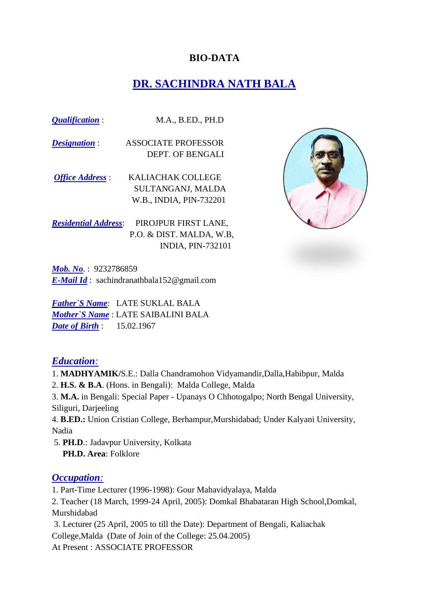#### **BIO-DATA**

## **DR. SACHINDRA NATH BALA**

*Qualification* : M.A., B.ED., PH.D

*Designation* : ASSOCIATE PROFESSOR DEPT. OF BENGALI

*Office Address* : KALIACHAK COLLEGE SULTANGANJ, MALDA W.B., INDIA, PIN-732201

*Residential Address*: PIROJPUR FIRST LANE, P.O. & DIST. MALDA, W.B, INDIA, PIN-732101



*Mob. No*. : 9232786859 *E-Mail Id* : sachindranathbala152@gmail.com

*Father`S Name*: LATE SUKLAL BALA *Mother`S Name* : LATE SAIBALINI BALA *Date of Birth* : 15.02.1967

#### *Education:*

- 1. **MADHYAMIK/**S.E.: Dalla Chandramohon Vidyamandir,Dalla,Habibpur, Malda
- 2. **H.S. & B.A**. (Hons. in Bengali): Malda College, Malda

3. **M.A.** in Bengali: Special Paper - Upanays O Chhotogalpo; North Bengal University, Siliguri, Darjeeling

4. **B.ED.:** Union Cristian College, Berhampur,Murshidabad; Under Kalyani University, Nadia

5. **PH.D**.: Jadavpur University, Kolkata  **PH.D. Area**: Folklore

#### *Occupation:*

1. Part-Time Lecturer (1996-1998): Gour Mahavidyalaya, Malda

2. Teacher (18 March, 1999-24 April, 2005): Domkal Bhabataran High School,Domkal, Murshidabad

3. Lecturer (25 April, 2005 to till the Date): Department of Bengali, Kaliachak College,Malda (Date of Join of the College: 25.04.2005)

At Present : ASSOCIATE PROFESSOR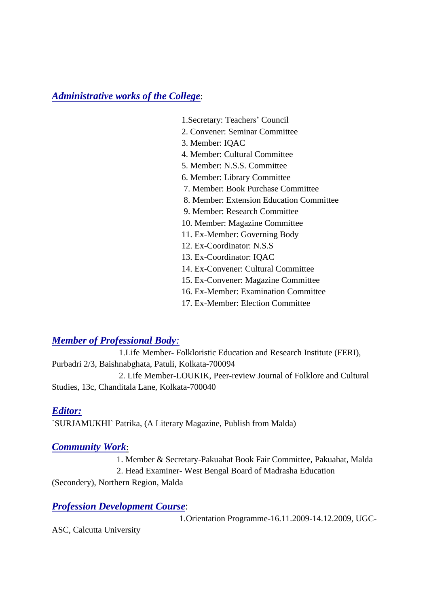*Administrative works of the College*:

- 1.Secretary: Teachers' Council
- 2. Convener: Seminar Committee
- 3. Member: IQAC
- 4. Member: Cultural Committee
- 5. Member: N.S.S. Committee
- 6. Member: Library Committee
- 7. Member: Book Purchase Committee
- 8. Member: Extension Education Committee
- 9. Member: Research Committee
- 10. Member: Magazine Committee
- 11. Ex-Member: Governing Body
- 12. Ex-Coordinator: N.S.S
- 13. Ex-Coordinator: IQAC
- 14. Ex-Convener: Cultural Committee
- 15. Ex-Convener: Magazine Committee
- 16. Ex-Member: Examination Committee
- 17. Ex-Member: Election Committee

### *Member of Professional Body:*

 1.Life Member- Folkloristic Education and Research Institute (FERI), Purbadri 2/3, Baishnabghata, Patuli, Kolkata-700094 2. Life Member-LOUKIK, Peer-review Journal of Folklore and Cultural

Studies, 13c, Chanditala Lane, Kolkata-700040

#### *Editor:*

`SURJAMUKHI` Patrika, (A Literary Magazine, Publish from Malda)

#### *Community Work*:

 1. Member & Secretary-Pakuahat Book Fair Committee, Pakuahat, Malda 2. Head Examiner- West Bengal Board of Madrasha Education

(Secondery), Northern Region, Malda

#### *Profession Development Course*:

1.Orientation Programme-16.11.2009-14.12.2009, UGC-

ASC, Calcutta University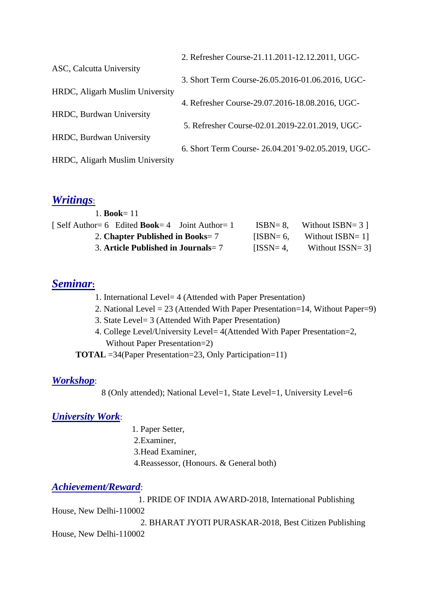|                                 | 2. Refresher Course-21.11.2011-12.12.2011, UGC-   |
|---------------------------------|---------------------------------------------------|
| ASC, Calcutta University        |                                                   |
|                                 | 3. Short Term Course-26.05.2016-01.06.2016, UGC-  |
| HRDC, Aligarh Muslim University |                                                   |
|                                 | 4. Refresher Course-29.07.2016-18.08.2016, UGC-   |
| HRDC, Burdwan University        |                                                   |
|                                 | 5. Refresher Course-02.01.2019-22.01.2019, UGC-   |
| HRDC, Burdwan University        |                                                   |
|                                 | 6. Short Term Course-26.04.201`9-02.05.2019, UGC- |
| HRDC, Aligarh Muslim University |                                                   |
|                                 |                                                   |

#### *Writings*:

| 1. <b>Book</b> = 11                                    |              |                      |
|--------------------------------------------------------|--------------|----------------------|
| [Self Author= 6 Edited <b>Book</b> = 4 Joint Author= 1 | $ISBN = 8.$  | Without $ISBN = 3$ ] |
| 2. Chapter Published in Books= $7$                     | $IISBN = 6.$ | Without ISBN=1       |
| 3. Article Published in Journals = $7$                 | $IISSN=4.$   | Without $ISSN = 3$   |

### *Seminar***:**

- 1. International Level= 4 (Attended with Paper Presentation)
- 2. National Level = 23 (Attended With Paper Presentation=14, Without Paper=9)
- 3. State Level= 3 (Attended With Paper Presentation)
- 4. College Level/University Level= 4(Attended With Paper Presentation=2, Without Paper Presentation=2)

**TOTAL** =34(Paper Presentation=23, Only Participation=11)

#### *Workshop*:

8 (Only attended); National Level=1, State Level=1, University Level=6

### *University Work*:

- 1. Paper Setter,
- 2.Examiner,
- 3.Head Examiner,
- 4.Reassessor, (Honours. & General both)

#### *Achievement/Reward*:

 1. PRIDE OF INDIA AWARD-2018, International Publishing House, New Delhi-110002 2. BHARAT JYOTI PURASKAR-2018, Best Citizen Publishing House, New Delhi-110002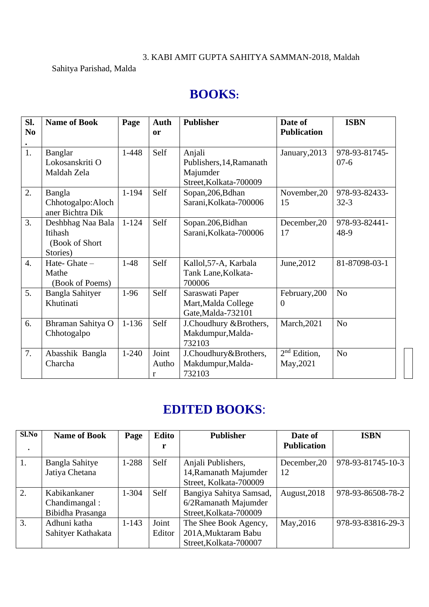### 3. KABI AMIT GUPTA SAHITYA SAMMAN-2018, Maldah

### Sahitya Parishad, Malda

# **BOOKS:**

| SI.              | <b>Name of Book</b>                                         | Page      | Auth                | <b>Publisher</b>                                                         | Date of                     | <b>ISBN</b>               |
|------------------|-------------------------------------------------------------|-----------|---------------------|--------------------------------------------------------------------------|-----------------------------|---------------------------|
| N <sub>0</sub>   |                                                             |           | <b>or</b>           |                                                                          | <b>Publication</b>          |                           |
| 1.               | Banglar<br>Lokosanskriti O<br>Maldah Zela                   | $1 - 448$ | Self                | Anjali<br>Publishers, 14, Ramanath<br>Majumder<br>Street, Kolkata-700009 | January, 2013               | 978-93-81745-<br>$07-6$   |
| 2.               | Bangla<br>Chhotogalpo:Aloch<br>aner Bichtra Dik             | $1 - 194$ | Self                | Sopan, 206, Bdhan<br>Sarani, Kolkata-700006                              | November, 20<br>15          | 978-93-82433-<br>$32 - 3$ |
| $\overline{3}$ . | Deshbhag Naa Bala<br>Itihash<br>(Book of Short)<br>Stories) | $1 - 124$ | Self                | Sopan.206, Bidhan<br>Sarani, Kolkata-700006                              | December, 20<br>17          | 978-93-82441-<br>48-9     |
| $\overline{4}$ . | Hate-Ghate-<br>Mathe<br>(Book of Poems)                     | $1-48$    | Self                | Kallol, 57-A, Karbala<br>Tank Lane, Kolkata-<br>700006                   | June, 2012                  | 81-87098-03-1             |
| 5.               | <b>Bangla Sahityer</b><br>Khutinati                         | $1-96$    | Self                | Saraswati Paper<br>Mart, Malda College<br>Gate, Malda-732101             | February, 200<br>0          | N <sub>o</sub>            |
| 6.               | Bhraman Sahitya O<br>Chhotogalpo                            | $1 - 136$ | Self                | J.Choudhury &Brothers,<br>Makdumpur, Malda-<br>732103                    | <b>March, 2021</b>          | N <sub>o</sub>            |
| 7.               | Abasshik Bangla<br>Charcha                                  | $1 - 240$ | Joint<br>Autho<br>r | J.Choudhury&Brothers,<br>Makdumpur, Malda-<br>732103                     | $2nd$ Edition,<br>May, 2021 | N <sub>o</sub>            |

## **EDITED BOOKS**:

| Sl.No | <b>Name of Book</b>   | Page      | Edito  | <b>Publisher</b>        | Date of            | <b>ISBN</b>       |
|-------|-----------------------|-----------|--------|-------------------------|--------------------|-------------------|
|       |                       |           | r      |                         | <b>Publication</b> |                   |
| 1.    | <b>Bangla Sahitye</b> | 1-288     | Self   | Anjali Publishers,      | December, 20       | 978-93-81745-10-3 |
|       | Jatiya Chetana        |           |        | 14, Ramanath Majumder   | 12                 |                   |
|       |                       |           |        | Street, Kolkata-700009  |                    |                   |
| 2.    | Kabikankaner          | 1-304     | Self   | Bangiya Sahitya Samsad, | August, 2018       | 978-93-86508-78-2 |
|       | Chandimangal:         |           |        | 6/2Ramanath Majumder    |                    |                   |
|       | Bibidha Prasanga      |           |        | Street, Kolkata-700009  |                    |                   |
| 3.    | Adhuni katha          | $1 - 143$ | Joint  | The Shee Book Agency,   | May, 2016          | 978-93-83816-29-3 |
|       | Sahityer Kathakata    |           | Editor | 201A, Muktaram Babu     |                    |                   |
|       |                       |           |        | Street, Kolkata-700007  |                    |                   |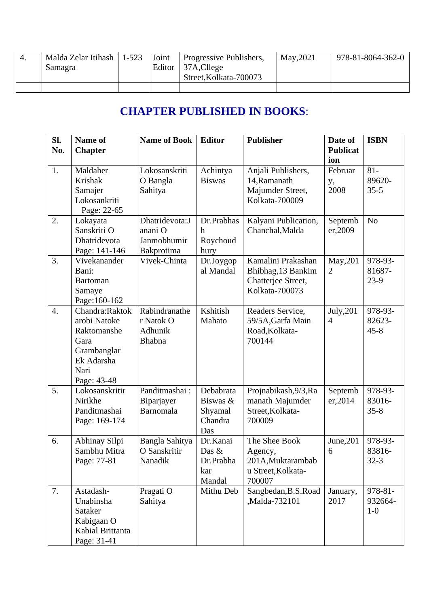| $-4.$ | Malda Zelar Itihash | $1 - 523$ | Ioint | <b>Progressive Publishers,</b> | May, 2021 | 978-81-8064-362-0 |
|-------|---------------------|-----------|-------|--------------------------------|-----------|-------------------|
|       | Samagra             |           |       | Editor 37A, Cllege             |           |                   |
|       |                     |           |       | Street, Kolkata-700073         |           |                   |
|       |                     |           |       |                                |           |                   |

## **CHAPTER PUBLISHED IN BOOKS**:

| SI.<br>No.       | Name of<br><b>Chapter</b>                                                                                 | <b>Name of Book</b>                                    | <b>Editor</b>                                      | <b>Publisher</b>                                                                 | Date of<br><b>Publicat</b><br>ion | <b>ISBN</b>                   |
|------------------|-----------------------------------------------------------------------------------------------------------|--------------------------------------------------------|----------------------------------------------------|----------------------------------------------------------------------------------|-----------------------------------|-------------------------------|
| 1.               | Maldaher<br>Krishak<br>Samajer<br>Lokosankriti<br>Page: 22-65                                             | Lokosanskriti<br>O Bangla<br>Sahitya                   | Achintya<br><b>Biswas</b>                          | Anjali Publishers,<br>14, Ramanath<br>Majumder Street,<br>Kolkata-700009         | Februar<br>у,<br>2008             | $81 -$<br>89620-<br>$35 - 5$  |
| 2.               | Lokayata<br>Sanskriti O<br>Dhatridevota<br>Page: 141-146                                                  | Dhatridevota:J<br>anani O<br>Janmobhumir<br>Bakprotima | Dr.Prabhas<br>$\boldsymbol{h}$<br>Roychoud<br>hury | Kalyani Publication,<br>Chanchal, Malda                                          | Septemb<br>er,2009                | N <sub>o</sub>                |
| 3.               | Vivekanander<br>Bani:<br><b>Bartoman</b><br>Samaye<br>Page: 160-162                                       | Vivek-Chinta                                           | Dr.Joygop<br>al Mandal                             | Kamalini Prakashan<br>Bhibhag, 13 Bankim<br>Chatterjee Street,<br>Kolkata-700073 | May, 201<br>$\overline{2}$        | 978-93-<br>81687-<br>23-9     |
| $\overline{4}$ . | Chandra:Raktok<br>arobi Natoke<br>Raktomanshe<br>Gara<br>Grambanglar<br>Ek Adarsha<br>Nari<br>Page: 43-48 | Rabindranathe<br>r Natok O<br>Adhunik<br>Bhabna        | Kshitish<br>Mahato                                 | Readers Service,<br>59/5A, Garfa Main<br>Road, Kolkata-<br>700144                | July, 201<br>$\overline{4}$       | 978-93-<br>82623-<br>$45 - 8$ |
| 5.               | Lokosanskritir<br>Nirikhe<br>Panditmashai<br>Page: 169-174                                                | Panditmashai:<br>Biparjayer<br>Barnomala               | Debabrata<br>Biswas &<br>Shyamal<br>Chandra<br>Das | Projnabikash, 9/3, Ra<br>manath Majumder<br>Street, Kolkata-<br>700009           | Septemb<br>er, 2014               | 978-93-<br>83016-<br>$35 - 8$ |
| 6.               | Abhinay Silpi<br>Sambhu Mitra<br>Page: 77-81                                                              | Bangla Sahitya<br>O Sanskritir<br>Nanadik              | Dr.Kanai<br>Das &<br>Dr.Prabha<br>kar<br>Mandal    | The Shee Book<br>Agency,<br>201A, Muktarambab<br>u Street, Kolkata-<br>700007    | June, 201<br>6                    | 978-93-<br>83816-<br>$32-3$   |
| 7.               | Astadash-<br>Unabinsha<br>Sataker<br>Kabigaan O<br>Kabial Brittanta<br>Page: 31-41                        | Pragati O<br>Sahitya                                   | Mithu Deb                                          | Sangbedan, B.S. Road<br>,Malda-732101                                            | January,<br>2017                  | 978-81-<br>932664-<br>$1-0$   |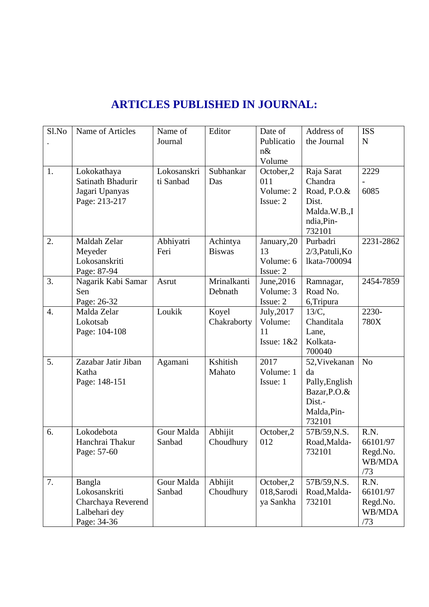| Sl.No            | Name of Articles                                                              | Name of<br>Journal       | Editor                    | Date of<br>Publicatio<br>$n\&$<br>Volume     | Address of<br>the Journal                                                                | <b>ISS</b><br>$\mathbf N$                     |
|------------------|-------------------------------------------------------------------------------|--------------------------|---------------------------|----------------------------------------------|------------------------------------------------------------------------------------------|-----------------------------------------------|
| 1.               | Lokokathaya<br>Satinath Bhadurir<br>Jagari Upanyas<br>Page: 213-217           | Lokosanskri<br>ti Sanbad | Subhankar<br>Das          | October,2<br>011<br>Volume: 2<br>Issue: 2    | Raja Sarat<br>Chandra<br>Road, P.O.&<br>Dist.<br>Malda.W.B.,I<br>ndia, Pin-<br>732101    | 2229<br>6085                                  |
| 2.               | Maldah Zelar<br>Meyeder<br>Lokosanskriti<br>Page: 87-94                       | Abhiyatri<br>Feri        | Achintya<br><b>Biswas</b> | January, 20<br>13<br>Volume: 6<br>Issue: 2   | Purbadri<br>2/3, Patuli, Ko<br>lkata-700094                                              | 2231-2862                                     |
| 3.               | Nagarik Kabi Samar<br>Sen<br>Page: 26-32                                      | Asrut                    | Mrinalkanti<br>Debnath    | June, 2016<br>Volume: 3<br>Issue: 2          | Ramnagar,<br>Road No.<br>6, Tripura                                                      | 2454-7859                                     |
| $\overline{4}$ . | Malda Zelar<br>Lokotsab<br>Page: 104-108                                      | Loukik                   | Koyel<br>Chakraborty      | July, 2017<br>Volume:<br>11<br>Issue: $1&82$ | $13/C$ ,<br>Chanditala<br>Lane,<br>Kolkata-<br>700040                                    | 2230-<br>780X                                 |
| 5.               | Zazabar Jatir Jiban<br>Katha<br>Page: 148-151                                 | Agamani                  | Kshitish<br>Mahato        | 2017<br>Volume: 1<br>Issue: 1                | 52, Vivekanan<br>da<br>Pally, English<br>Bazar, P.O.&<br>Dist.-<br>Malda, Pin-<br>732101 | N <sub>o</sub>                                |
| 6.               | Lokodebota<br>Hanchrai Thakur<br>Page: 57-60                                  | Gour Malda<br>Sanbad     | Abhijit<br>Choudhury      | October,2<br>012                             | 57B/59, N.S.<br>Road, Malda-<br>732101                                                   | R.N.<br>66101/97<br>Regd.No.<br>WB/MDA<br>/73 |
| 7.               | Bangla<br>Lokosanskriti<br>Charchaya Reverend<br>Lalbehari dey<br>Page: 34-36 | Gour Malda<br>Sanbad     | Abhijit<br>Choudhury      | October,2<br>018, Sarodi<br>ya Sankha        | 57B/59, N.S.<br>Road, Malda-<br>732101                                                   | R.N.<br>66101/97<br>Regd.No.<br>WB/MDA<br>/73 |

## **ARTICLES PUBLISHED IN JOURNAL:**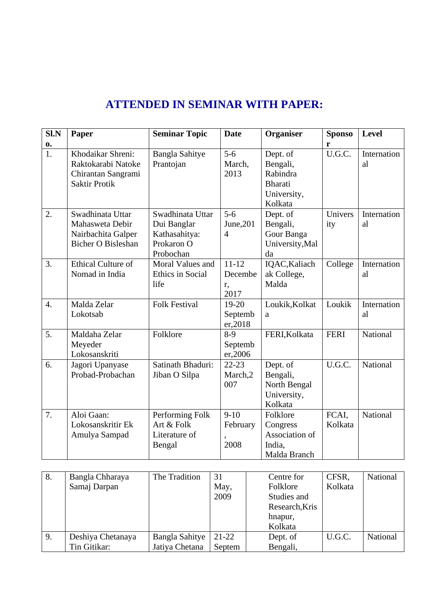## **ATTENDED IN SEMINAR WITH PAPER:**

| Sl.N             | Paper                                                                                  | <b>Seminar Topic</b>                                                        | <b>Date</b>                            | Organiser                                                                    | <b>Sponso</b>    | <b>Level</b>                |
|------------------|----------------------------------------------------------------------------------------|-----------------------------------------------------------------------------|----------------------------------------|------------------------------------------------------------------------------|------------------|-----------------------------|
| $\mathbf{0}$     |                                                                                        |                                                                             |                                        |                                                                              | r                |                             |
| $\overline{1}$ . | Khodaikar Shreni:<br>Raktokarabi Natoke<br>Chirantan Sangrami<br><b>Saktir Protik</b>  | <b>Bangla Sahitye</b><br>Prantojan                                          | $5-6$<br>March,<br>2013                | Dept. of<br>Bengali,<br>Rabindra<br><b>Bharati</b><br>University,<br>Kolkata | U.G.C.           | Internation<br>al           |
| 2.               | Swadhinata Uttar<br>Mahasweta Debir<br>Nairbachita Galper<br><b>Bicher O Bisleshan</b> | Swadhinata Uttar<br>Dui Banglar<br>Kathasahitya:<br>Prokaron O<br>Probochan | $5 - 6$<br>June, 201<br>$\overline{4}$ | Dept. of<br>Bengali,<br>Gour Banga<br>University, Mal<br>da                  | Univers<br>ity   | Internation<br>al           |
| $\overline{3}$ . | <b>Ethical Culture of</b><br>Nomad in India                                            | Moral Values and<br>Ethics in Social<br>life                                | $11 - 12$<br>Decembe<br>r,<br>2017     | IQAC, Kaliach<br>ak College,<br>Malda                                        | College          | Internation<br>al           |
| $\overline{4}$ . | Malda Zelar<br>Lokotsab                                                                | <b>Folk Festival</b>                                                        | $19-20$<br>Septemb<br>er, 2018         | Loukik, Kolkat<br>a                                                          | Loukik           | Internation<br><sub>a</sub> |
| 5.               | Maldaha Zelar<br>Meyeder<br>Lokosanskriti                                              | Folklore                                                                    | $8-9$<br>Septemb<br>er, 2006           | FERI, Kolkata                                                                | <b>FERI</b>      | National                    |
| 6.               | Jagori Upanyase<br>Probad-Probachan                                                    | Satinath Bhaduri:<br>Jiban O Silpa                                          | $22 - 23$<br>March,2<br>007            | Dept. of<br>Bengali,<br>North Bengal<br>University,<br>Kolkata               | U.G.C.           | National                    |
| 7.               | Aloi Gaan:<br>Lokosanskritir Ek<br>Amulya Sampad                                       | Performing Folk<br>Art & Folk<br>Literature of<br>Bengal                    | $9-10$<br>February<br>2008             | Folklore<br>Congress<br>Association of<br>India,<br>Malda Branch             | FCAI,<br>Kolkata | National                    |

| 8. | Bangla Chharaya   | The Tradition         | 31      | Centre for     | CFSR,   | National |
|----|-------------------|-----------------------|---------|----------------|---------|----------|
|    | Samaj Darpan      |                       | May,    | Folklore       | Kolkata |          |
|    |                   |                       | 2009    | Studies and    |         |          |
|    |                   |                       |         | Research, Kris |         |          |
|    |                   |                       |         | hnapur,        |         |          |
|    |                   |                       |         | Kolkata        |         |          |
| 9. | Deshiya Chetanaya | <b>Bangla Sahitye</b> | $21-22$ | Dept. of       | U.G.C.  | National |
|    | Tin Gitikar:      | Jatiya Chetana        | Septem  | Bengali,       |         |          |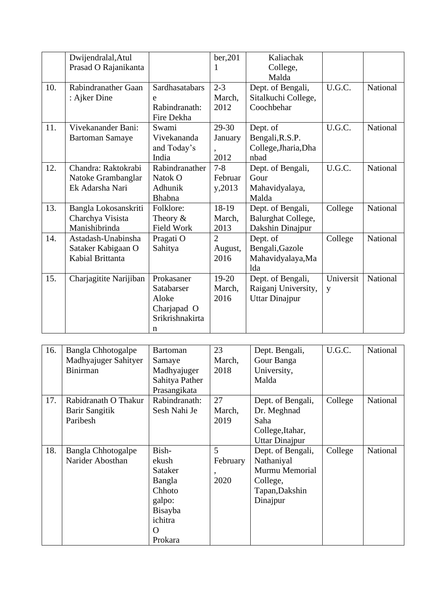|     | Dwijendralal, Atul     |                       | ber, 201       | Kaliachak                 |           |          |
|-----|------------------------|-----------------------|----------------|---------------------------|-----------|----------|
|     | Prasad O Rajanikanta   |                       |                | College,                  |           |          |
|     |                        |                       |                | Malda                     |           |          |
| 10. | Rabindranather Gaan    | <b>Sardhasatabars</b> | $2 - 3$        | Dept. of Bengali,         | U.G.C.    | National |
|     | : Ajker Dine           | e                     | March,         | Sitalkuchi College,       |           |          |
|     |                        | Rabindranath:         | 2012           | Coochbehar                |           |          |
|     |                        | Fire Dekha            |                |                           |           |          |
| 11. | Vivekanander Bani:     | Swami                 | 29-30          | Dept. of                  | U.G.C.    | National |
|     | <b>Bartoman Samaye</b> | Vivekananda           | January        | Bengali, R.S.P.           |           |          |
|     |                        | and Today's           |                | College, Jharia, Dha      |           |          |
|     |                        | India                 | 2012           | nbad                      |           |          |
| 12. | Chandra: Raktokrabi    | Rabindranather        | $7 - 8$        | Dept. of Bengali,         | U.G.C.    | National |
|     | Natoke Grambanglar     | Natok O               | Februar        | Gour                      |           |          |
|     | Ek Adarsha Nari        | Adhunik               | y, 2013        | Mahavidyalaya,            |           |          |
|     |                        | <b>Bhabna</b>         |                | Malda                     |           |          |
| 13. | Bangla Lokosanskriti   | Folklore:             | 18-19          | Dept. of Bengali,         | College   | National |
|     | Charchya Visista       | Theory $&$            | March,         | <b>Balurghat College,</b> |           |          |
|     | Manishibrinda          | <b>Field Work</b>     | 2013           | Dakshin Dinajpur          |           |          |
| 14. | Astadash-Unabinsha     | Pragati O             | $\overline{2}$ | Dept. of                  | College   | National |
|     | Sataker Kabigaan O     | Sahitya               | August,        | Bengali, Gazole           |           |          |
|     | Kabial Brittanta       |                       | 2016           | Mahavidyalaya, Ma         |           |          |
|     |                        |                       |                | lda                       |           |          |
| 15. | Charjagitite Narijiban | Prokasaner            | $19 - 20$      | Dept. of Bengali,         | Universit | National |
|     |                        | Satabarser            | March,         | Raiganj University,       | y         |          |
|     |                        | Aloke                 | 2016           | <b>Uttar Dinajpur</b>     |           |          |
|     |                        | Charjapad O           |                |                           |           |          |
|     |                        | Srikrishnakirta       |                |                           |           |          |
|     |                        | n                     |                |                           |           |          |

| 16. | <b>Bangla Chhotogalpe</b><br>Madhyajuger Sahityer<br><b>Binirman</b> | <b>Bartoman</b><br>Samaye<br>Madhyajuger<br>Sahitya Pather<br>Prasangikata                    | 23<br>March,<br>2018               | Dept. Bengali,<br>Gour Banga<br>University,<br>Malda                                        | U.G.C.  | National |
|-----|----------------------------------------------------------------------|-----------------------------------------------------------------------------------------------|------------------------------------|---------------------------------------------------------------------------------------------|---------|----------|
| 17. | Rabidranath O Thakur<br>Barir Sangitik<br>Paribesh                   | Rabindranath:<br>Sesh Nahi Je                                                                 | 27<br>March,<br>2019               | Dept. of Bengali,<br>Dr. Meghnad<br>Saha<br>College, Itahar,<br><b>Uttar Dinajpur</b>       | College | National |
| 18. | <b>Bangla Chhotogalpe</b><br>Narider Abosthan                        | Bish-<br>ekush<br>Sataker<br>Bangla<br>Chhoto<br>galpo:<br>Bisayba<br>ichitra<br>O<br>Prokara | 5<br>February<br>$\bullet$<br>2020 | Dept. of Bengali,<br>Nathaniyal<br>Murmu Memorial<br>College,<br>Tapan, Dakshin<br>Dinajpur | College | National |